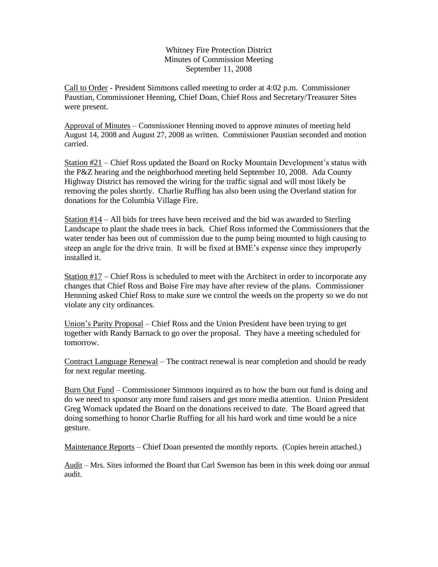Whitney Fire Protection District Minutes of Commission Meeting September 11, 2008

Call to Order - President Simmons called meeting to order at 4:02 p.m. Commissioner Paustian, Commissioner Henning, Chief Doan, Chief Ross and Secretary/Treasurer Sites were present.

Approval of Minutes – Commissioner Henning moved to approve minutes of meeting held August 14, 2008 and August 27, 2008 as written. Commissioner Paustian seconded and motion carried.

Station #21 – Chief Ross updated the Board on Rocky Mountain Development's status with the P&Z hearing and the neighborhood meeting held September 10, 2008. Ada County Highway District has removed the wiring for the traffic signal and will most likely be removing the poles shortly. Charlie Ruffing has also been using the Overland station for donations for the Columbia Village Fire.

Station #14 – All bids for trees have been received and the bid was awarded to Sterling Landscape to plant the shade trees in back. Chief Ross informed the Commissioners that the water tender has been out of commission due to the pump being mounted to high causing to steep an angle for the drive train. It will be fixed at BME's expense since they improperly installed it.

Station #17 – Chief Ross is scheduled to meet with the Architect in order to incorporate any changes that Chief Ross and Boise Fire may have after review of the plans. Commissioner Hennning asked Chief Ross to make sure we control the weeds on the property so we do not violate any city ordinances.

Union's Parity Proposal – Chief Ross and the Union President have been trying to get together with Randy Barnack to go over the proposal. They have a meeting scheduled for tomorrow.

Contract Language Renewal – The contract renewal is near completion and should be ready for next regular meeting.

Burn Out Fund – Commissioner Simmons inquired as to how the burn out fund is doing and do we need to sponsor any more fund raisers and get more media attention. Union President Greg Womack updated the Board on the donations received to date. The Board agreed that doing something to honor Charlie Ruffing for all his hard work and time would be a nice gesture.

Maintenance Reports – Chief Doan presented the monthly reports. (Copies herein attached.)

Audit – Mrs. Sites informed the Board that Carl Swenson has been in this week doing our annual audit.